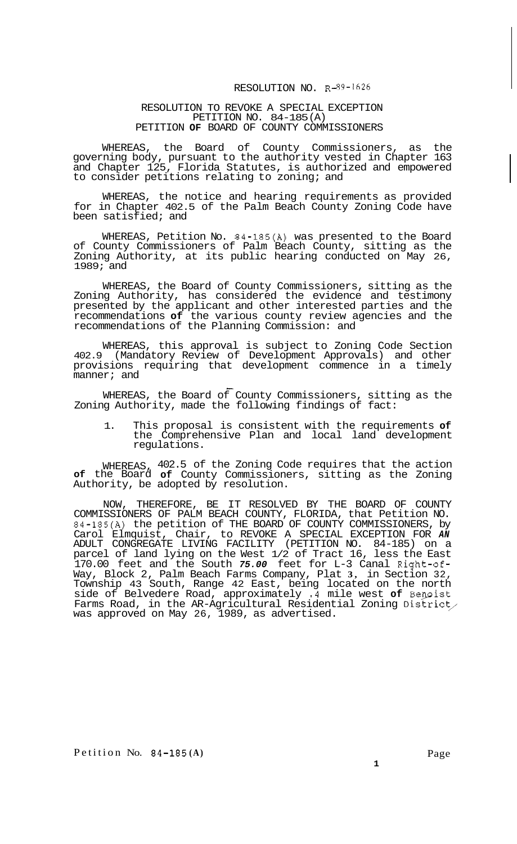## RESOLUTION NO. R-89-1626

## RESOLUTION TO REVOKE A SPECIAL EXCEPTION PETITION NO. 84-185(A) PETITION **OF** BOARD OF COUNTY COMMISSIONERS

WHEREAS, the Board of County Commissioners, as the governing body, pursuant to the authority vested in Chapter 163 and Chapter 125, Florida Statutes, is authorized and empowered to consider petitions relating to zoning; and

WHEREAS, the notice and hearing requirements as provided for in Chapter 402.5 of the Palm Beach County Zoning Code have been satisfied; and

WHEREAS, Petition No. 84-185(A) was presented to the Board of County Commissioners of Palm Beach County, sitting as the Zoning Authority, at its public hearing conducted on May 26, 1989; and

WHEREAS, the Board of County Commissioners, sitting as the Zoning Authority, has considered the evidence and testimony presented by the applicant and other interested parties and the recommendations **of** the various county review agencies and the recommendations of the Planning Commission: and

WHEREAS, this approval is subject to Zoning Code Section 402.9 (Mandatory Review of Development Approvals) and other provisions requiring that development commence in a timely manner; and

WHEREAS, the Board of County Commissioners, sitting as the Zoning Authority, made the following findings of fact:

1. This proposal is consistent with the requirements **of**  the Comprehensive Plan and local land development regulations.

WHEREAS, 402.5 of the Zoning Code requires that the action **of** the Board **of** County Commissioners, sitting as the Zoning Authority, be adopted by resolution.

NOW, THEREFORE, BE IT RESOLVED BY THE BOARD OF COUNTY COMMISSIONERS OF PALM BEACH COUNTY, FLORIDA, that Petition NO. 84-185(A) the petition of THE BOARD OF COUNTY COMMISSIONERS, by Carol Elmquist, Chair, to REVOKE A SPECIAL EXCEPTION FOR *AN*  ADULT CONGREGATE LIVING FACILITY (PETITION NO. 84-185) on a parcel of land lying on the West 1/2 of Tract 16, less the East 170.00 feet and the South *75.00* feet for L-3 Canal Right-of-Way, Block 2, Palm Beach Farms Company, Plat **3,** in Section 32, Township 43 South, Range 42 East, being located on the north side of Belvedere Road, approximately **.4** mile west **of** Bewist Farms Road, in the AR-Agricultural Residential Zoning District was approved on May 26, 1989, as advertised.